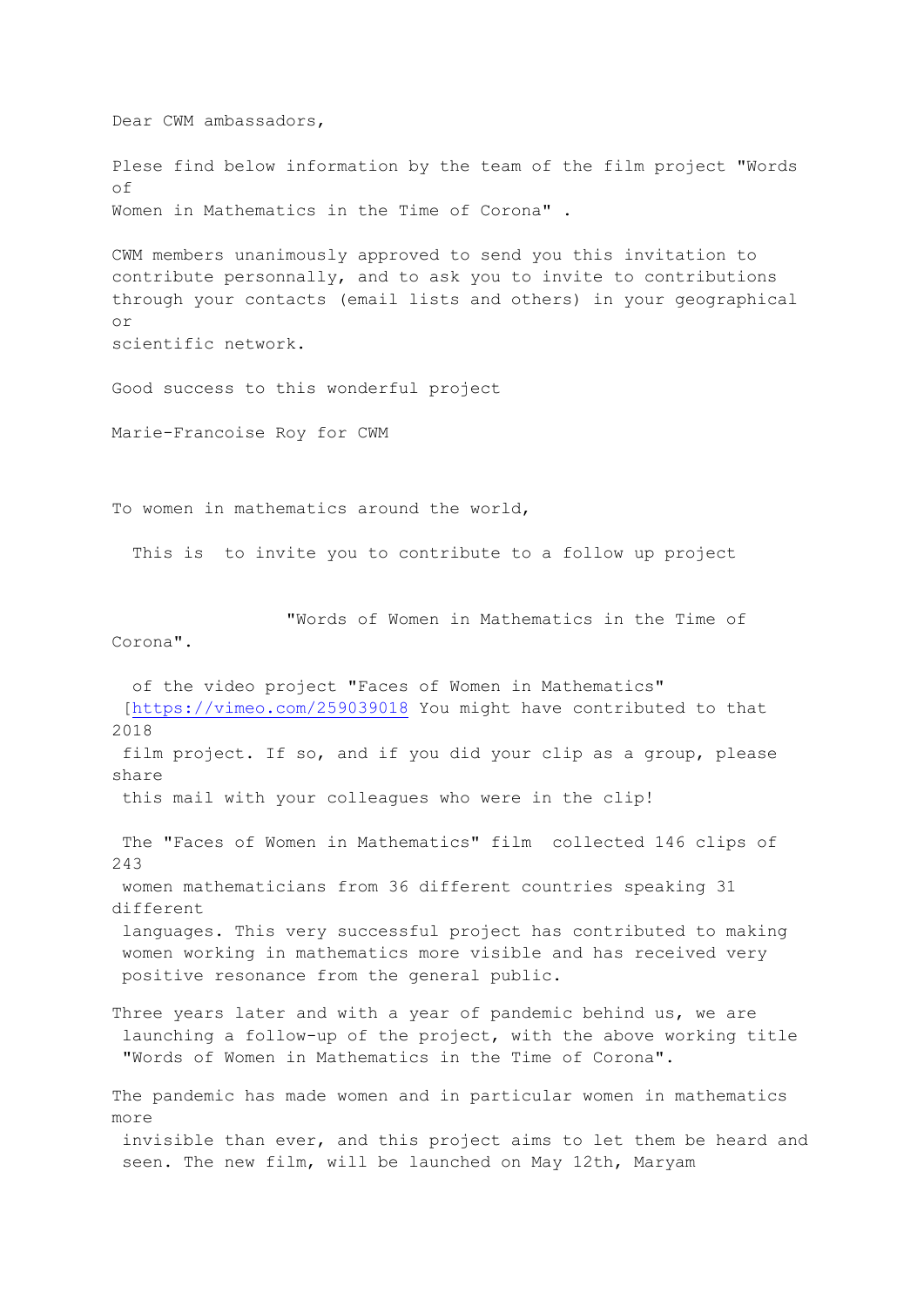Dear CWM ambassadors,

Plese find below information by the team of the film project "Words of Women in Mathematics in the Time of Corona" .

CWM members unanimously approved to send you this invitation to contribute personnally, and to ask you to invite to contributions through your contacts (email lists and others) in your geographical or

scientific network.

Good success to this wonderful project

Marie-Francoise Roy for CWM

To women in mathematics around the world,

This is to invite you to contribute to a follow up project

 "Words of Women in Mathematics in the Time of Corona".

of the video project "Faces of Women in Mathematics" [\[https://vimeo.com/259039018](https://vimeo.com/259039018) You might have contributed to that 2018 film project. If so, and if you did your clip as a group, please share this mail with your colleagues who were in the clip! The "Faces of Women in Mathematics" film collected 146 clips of  $243$ women mathematicians from 36 different countries speaking 31 different languages. This very successful project has contributed to making women working in mathematics more visible and has received very positive resonance from the general public. Three years later and with a year of pandemic behind us, we are launching a follow-up of the project, with the above working title "Words of Women in Mathematics in the Time of Corona". The pandemic has made women and in particular women in mathematics more invisible than ever, and this project aims to let them be heard and

seen. The new film, will be launched on May 12th, Maryam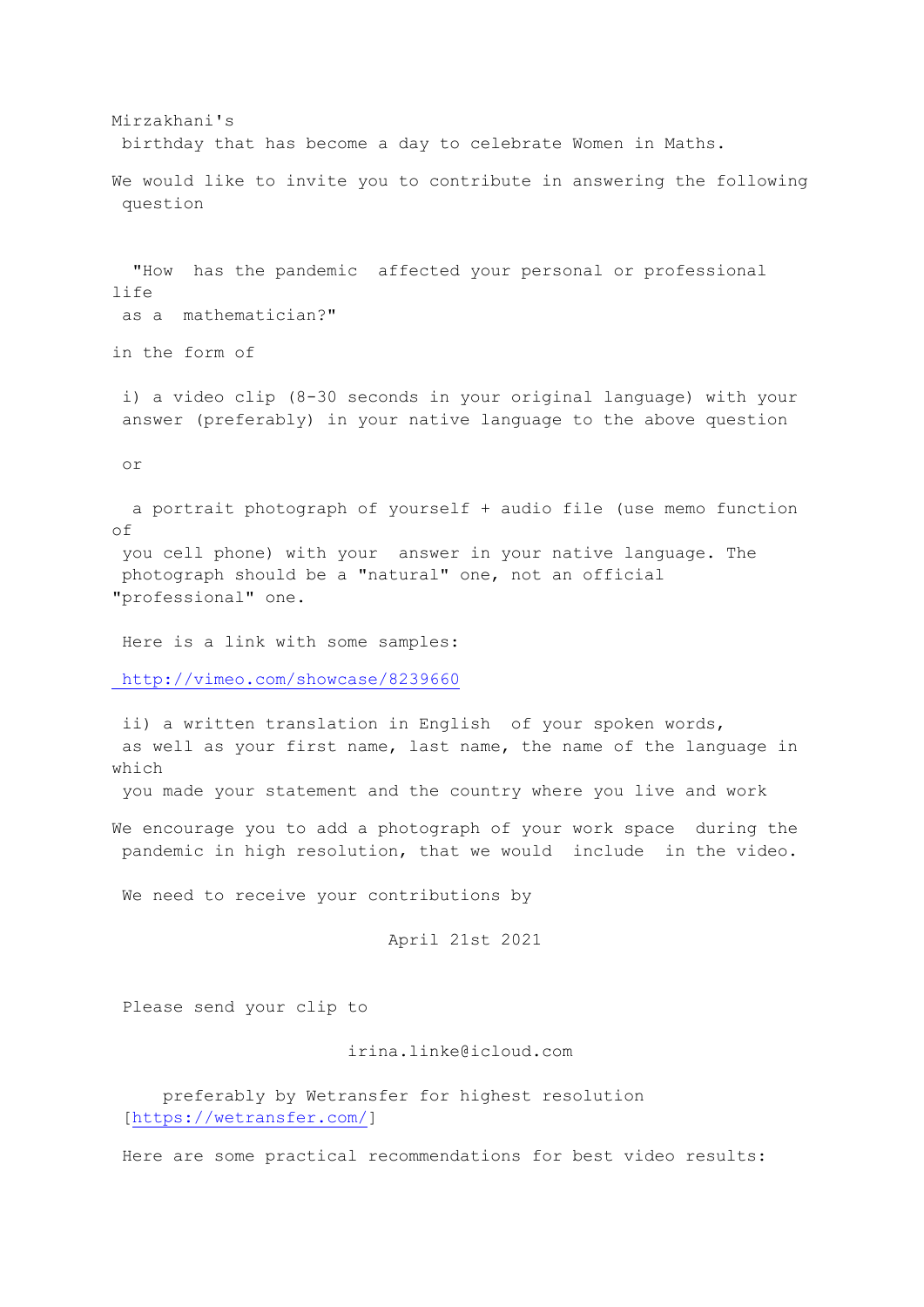Mirzakhani's birthday that has become a day to celebrate Women in Maths.

We would like to invite you to contribute in answering the following question

"How has the pandemic affected your personal or professional life as a mathematician?"

in the form of

i) a video clip (8-30 seconds in your original language) with your answer (preferably) in your native language to the above question

or

a portrait photograph of yourself + audio file (use memo function of you cell phone) with your answer in your native language. The photograph should be a "natural" one, not an official "professional" one.

Here is a link with some samples:

<http://vimeo.com/showcase/8239660>

ii) a written translation in English of your spoken words, as well as your first name, last name, the name of the language in which

you made your statement and the country where you live and work

We encourage you to add a photograph of your work space during the pandemic in high resolution, that we would include in the video.

We need to receive your contributions by

April 21st 2021

Please send your clip to

irina.linke@icloud.com

 preferably by Wetransfer for highest resolution [\[https://wetransfer.com/\]](https://wetransfer.com/)

Here are some practical recommendations for best video results: